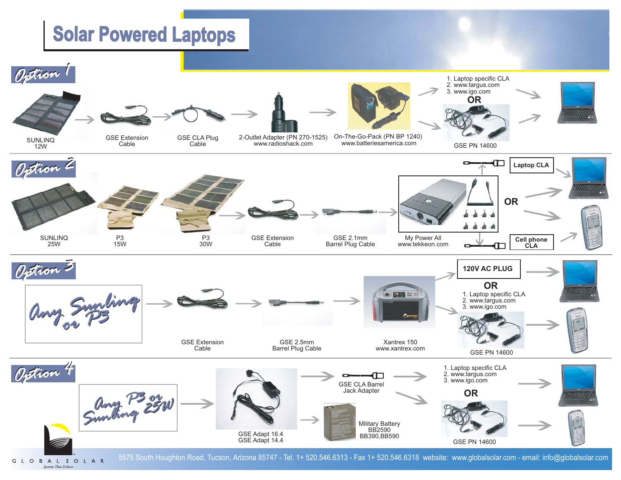# **Solar Powered Laptops**



5575 South Houghton Road, Tucson, Arizona 85747 - Tel. 1+ 520.546.6313 - Fax 1+ 520.546.6318 website: www.globalsolar.com - email: info@globalsolar.com